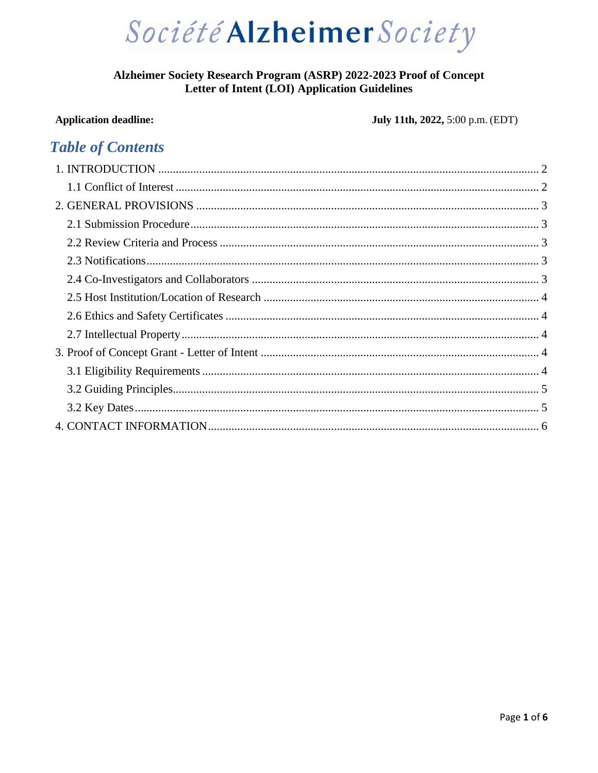

### Alzheimer Society Research Program (ASRP) 2022-2023 Proof of Concept **Letter of Intent (LOI) Application Guidelines**

### **Application deadline:**

### July 11th, 2022, 5:00 p.m. (EDT)

## **Table of Contents**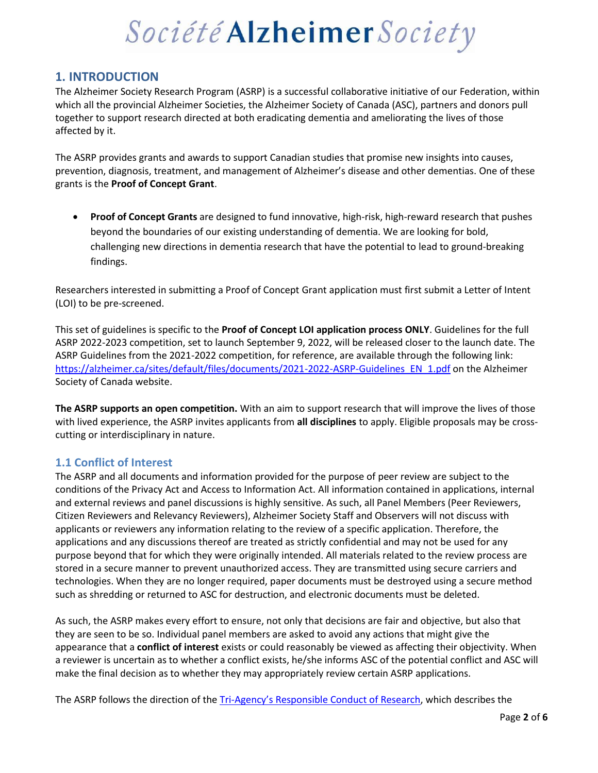### <span id="page-1-0"></span>**1. INTRODUCTION**

The Alzheimer Society Research Program (ASRP) is a successful collaborative initiative of our Federation, within which all the provincial Alzheimer Societies, the Alzheimer Society of Canada (ASC), partners and donors pull together to support research directed at both eradicating dementia and ameliorating the lives of those affected by it.

The ASRP provides grants and awards to support Canadian studies that promise new insights into causes, prevention, diagnosis, treatment, and management of Alzheimer's disease and other dementias. One of these grants is the **Proof of Concept Grant**.

• **Proof of Concept Grants** are designed to fund innovative, high-risk, high-reward research that pushes beyond the boundaries of our existing understanding of dementia. We are looking for bold, challenging new directions in dementia research that have the potential to lead to ground-breaking findings.

Researchers interested in submitting a Proof of Concept Grant application must first submit a Letter of Intent (LOI) to be pre-screened.

This set of guidelines is specific to the **Proof of Concept LOI application process ONLY**. Guidelines for the full ASRP 2022-2023 competition, set to launch September 9, 2022, will be released closer to the launch date. The ASRP Guidelines from the 2021-2022 competition, for reference, are available through the following link: [https://alzheimer.ca/sites/default/files/documents/2021-2022-ASRP-Guidelines\\_EN\\_1.pdf](https://alzheimer.ca/sites/default/files/documents/2021-2022-ASRP-Guidelines_EN_1.pdf) on the Alzheimer Society of Canada website.

**The ASRP supports an open competition.** With an aim to support research that will improve the lives of those with lived experience, the ASRP invites applicants from **all disciplines** to apply. Eligible proposals may be crosscutting or interdisciplinary in nature.

### <span id="page-1-1"></span>**1.1 Conflict of Interest**

The ASRP and all documents and information provided for the purpose of peer review are subject to the conditions of the Privacy Act and Access to Information Act. All information contained in applications, internal and external reviews and panel discussions is highly sensitive. As such, all Panel Members (Peer Reviewers, Citizen Reviewers and Relevancy Reviewers), Alzheimer Society Staff and Observers will not discuss with applicants or reviewers any information relating to the review of a specific application. Therefore, the applications and any discussions thereof are treated as strictly confidential and may not be used for any purpose beyond that for which they were originally intended. All materials related to the review process are stored in a secure manner to prevent unauthorized access. They are transmitted using secure carriers and technologies. When they are no longer required, paper documents must be destroyed using a secure method such as shredding or returned to ASC for destruction, and electronic documents must be deleted.

As such, the ASRP makes every effort to ensure, not only that decisions are fair and objective, but also that they are seen to be so. Individual panel members are asked to avoid any actions that might give the appearance that a **conflict of interest** exists or could reasonably be viewed as affecting their objectivity. When a reviewer is uncertain as to whether a conflict exists, he/she informs ASC of the potential conflict and ASC will make the final decision as to whether they may appropriately review certain ASRP applications.

The ASRP follows the direction of the Tri-[Agency's Responsible Conduct of Research](https://rcr.ethics.gc.ca/eng/framework-cadre.html#fn**), which describes the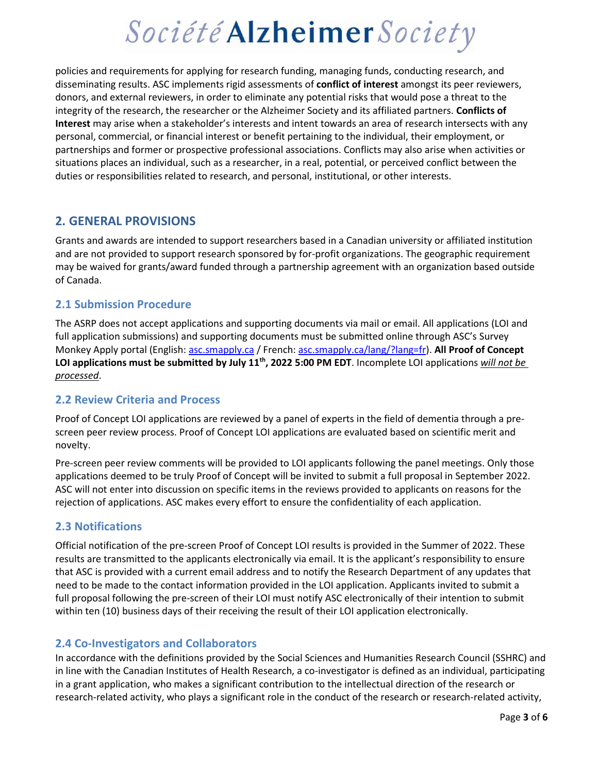policies and requirements for applying for research funding, managing funds, conducting research, and disseminating results. ASC implements rigid assessments of **conflict of interest** amongst its peer reviewers, donors, and external reviewers, in order to eliminate any potential risks that would pose a threat to the integrity of the research, the researcher or the Alzheimer Society and its affiliated partners. **Conflicts of Interest** may arise when a stakeholder's interests and intent towards an area of research intersects with any personal, commercial, or financial interest or benefit pertaining to the individual, their employment, or partnerships and former or prospective professional associations. Conflicts may also arise when activities or situations places an individual, such as a researcher, in a real, potential, or perceived conflict between the duties or responsibilities related to research, and personal, institutional, or other interests.

### <span id="page-2-0"></span>**2. GENERAL PROVISIONS**

Grants and awards are intended to support researchers based in a Canadian university or affiliated institution and are not provided to support research sponsored by for-profit organizations. The geographic requirement may be waived for grants/award funded through a partnership agreement with an organization based outside of Canada.

### <span id="page-2-1"></span>**2.1 Submission Procedure**

The ASRP does not accept applications and supporting documents via mail or email. All applications (LOI and full application submissions) and supporting documents must be submitted online through ASC's Survey Monkey Apply portal (English: [asc.smapply.ca](https://asc.smapply.ca/) / French[: asc.smapply.ca/lang/?lang=fr\)](https://asc.smapply.ca/lang/?lang=fr). **All Proof of Concept LOI applications must be submitted by July 11th, 2022 5:00 PM EDT**. Incomplete LOI applications *will not be processed*.

### <span id="page-2-2"></span>**2.2 Review Criteria and Process**

Proof of Concept LOI applications are reviewed by a panel of experts in the field of dementia through a prescreen peer review process. Proof of Concept LOI applications are evaluated based on scientific merit and novelty.

Pre-screen peer review comments will be provided to LOI applicants following the panel meetings. Only those applications deemed to be truly Proof of Concept will be invited to submit a full proposal in September 2022. ASC will not enter into discussion on specific items in the reviews provided to applicants on reasons for the rejection of applications. ASC makes every effort to ensure the confidentiality of each application.

### <span id="page-2-3"></span>**2.3 Notifications**

Official notification of the pre-screen Proof of Concept LOI results is provided in the Summer of 2022. These results are transmitted to the applicants electronically via email. It is the applicant's responsibility to ensure that ASC is provided with a current email address and to notify the Research Department of any updates that need to be made to the contact information provided in the LOI application. Applicants invited to submit a full proposal following the pre-screen of their LOI must notify ASC electronically of their intention to submit within ten (10) business days of their receiving the result of their LOI application electronically.

#### <span id="page-2-4"></span>**2.4 Co-Investigators and Collaborators**

In accordance with the definitions provided by the Social Sciences and Humanities Research Council (SSHRC) and in line with the Canadian Institutes of Health Research, a co-investigator is defined as an individual, participating in a grant application, who makes a significant contribution to the intellectual direction of the research or research-related activity, who plays a significant role in the conduct of the research or research-related activity,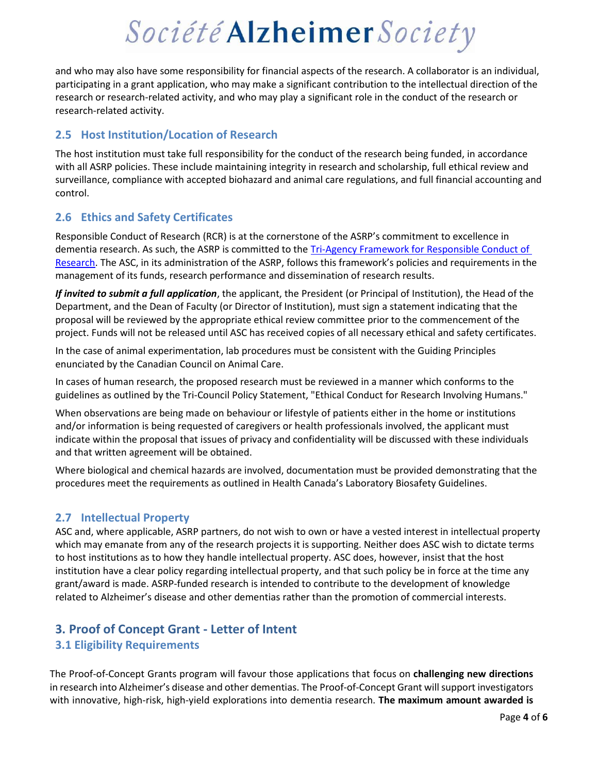and who may also have some responsibility for financial aspects of the research. A collaborator is an individual, participating in a grant application, who may make a significant contribution to the intellectual direction of the research or research-related activity, and who may play a significant role in the conduct of the research or research-related activity.

### <span id="page-3-0"></span>**2.5 Host Institution/Location of Research**

The host institution must take full responsibility for the conduct of the research being funded, in accordance with all ASRP policies. These include maintaining integrity in research and scholarship, full ethical review and surveillance, compliance with accepted biohazard and animal care regulations, and full financial accounting and control.

### <span id="page-3-1"></span>**2.6 Ethics and Safety Certificates**

Responsible Conduct of Research (RCR) is at the cornerstone of the ASRP's commitment to excellence in dementia research. As such, the ASRP is committed to the [Tri-Agency Framework for Responsible Conduct of](https://rcr.ethics.gc.ca/eng/framework-cadre.html)  [Research](https://rcr.ethics.gc.ca/eng/framework-cadre.html). The ASC, in its administration of the ASRP, follows this framework's policies and requirements in the management of its funds, research performance and dissemination of research results.

*If invited to submit a full application*, the applicant, the President (or Principal of Institution), the Head of the Department, and the Dean of Faculty (or Director of Institution), must sign a statement indicating that the proposal will be reviewed by the appropriate ethical review committee prior to the commencement of the project. Funds will not be released until ASC has received copies of all necessary ethical and safety certificates.

In the case of animal experimentation, lab procedures must be consistent with the Guiding Principles enunciated by the Canadian Council on Animal Care.

In cases of human research, the proposed research must be reviewed in a manner which conforms to the guidelines as outlined by the Tri-Council Policy Statement, "Ethical Conduct for Research Involving Humans."

When observations are being made on behaviour or lifestyle of patients either in the home or institutions and/or information is being requested of caregivers or health professionals involved, the applicant must indicate within the proposal that issues of privacy and confidentiality will be discussed with these individuals and that written agreement will be obtained.

Where biological and chemical hazards are involved, documentation must be provided demonstrating that the procedures meet the requirements as outlined in Health Canada's Laboratory Biosafety Guidelines.

### <span id="page-3-2"></span>**2.7 Intellectual Property**

ASC and, where applicable, ASRP partners, do not wish to own or have a vested interest in intellectual property which may emanate from any of the research projects it is supporting. Neither does ASC wish to dictate terms to host institutions as to how they handle intellectual property. ASC does, however, insist that the host institution have a clear policy regarding intellectual property, and that such policy be in force at the time any grant/award is made. ASRP-funded research is intended to contribute to the development of knowledge related to Alzheimer's disease and other dementias rather than the promotion of commercial interests.

### <span id="page-3-3"></span>**3. Proof of Concept Grant - Letter of Intent**

### <span id="page-3-4"></span>**3.1 Eligibility Requirements**

The Proof-of-Concept Grants program will favour those applications that focus on **challenging new directions** in research into Alzheimer's disease and other dementias. The Proof-of-Concept Grant will support investigators with innovative, high-risk, high-yield explorations into dementia research. **The maximum amount awarded is**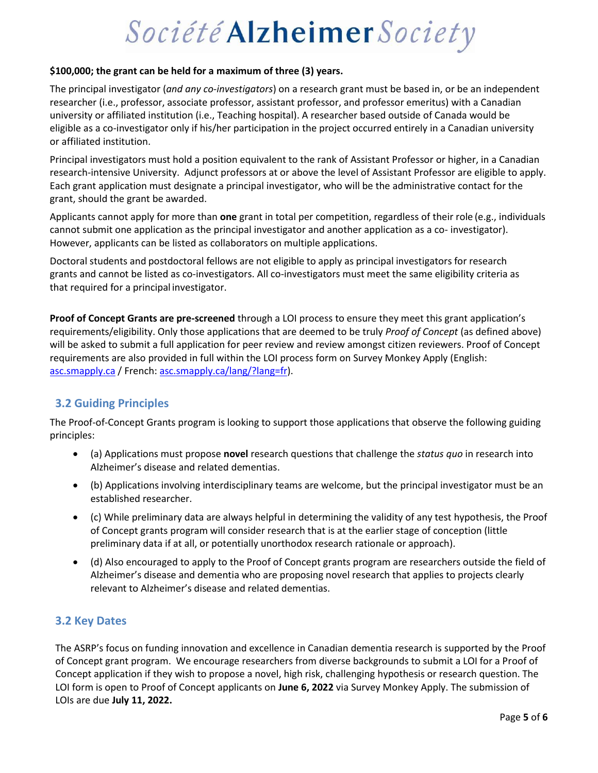#### **\$100,000; the grant can be held for a maximum of three (3) years.**

The principal investigator (*and any co-investigators*) on a research grant must be based in, or be an independent researcher (i.e., professor, associate professor, assistant professor, and professor emeritus) with a Canadian university or affiliated institution (i.e., Teaching hospital). A researcher based outside of Canada would be eligible as a co-investigator only if his/her participation in the project occurred entirely in a Canadian university or affiliated institution.

Principal investigators must hold a position equivalent to the rank of Assistant Professor or higher, in a Canadian research-intensive University. Adjunct professors at or above the level of Assistant Professor are eligible to apply. Each grant application must designate a principal investigator, who will be the administrative contact for the grant, should the grant be awarded.

Applicants cannot apply for more than **one** grant in total per competition, regardless of their role (e.g., individuals cannot submit one application as the principal investigator and another application as a co- investigator). However, applicants can be listed as collaborators on multiple applications.

Doctoral students and postdoctoral fellows are not eligible to apply as principal investigators for research grants and cannot be listed as co-investigators. All co-investigators must meet the same eligibility criteria as that required for a principal investigator.

**Proof of Concept Grants are pre-screened** through a LOI process to ensure they meet this grant application's requirements/eligibility. Only those applications that are deemed to be truly *Proof of Concept* (as defined above) will be asked to submit a full application for peer review and review amongst citizen reviewers. Proof of Concept requirements are also provided in full within the LOI process form on Survey Monkey Apply (English: [asc.smapply.ca](https://asc.smapply.ca/) / French[: asc.smapply.ca/lang/?lang=fr\)](https://asc.smapply.ca/lang/?lang=fr).

### <span id="page-4-0"></span>**3.2 Guiding Principles**

The Proof-of-Concept Grants program is looking to support those applications that observe the following guiding principles:

- (a) Applications must propose **novel** research questions that challenge the *status quo* in research into Alzheimer's disease and related dementias.
- (b) Applications involving interdisciplinary teams are welcome, but the principal investigator must be an established researcher.
- (c) While preliminary data are always helpful in determining the validity of any test hypothesis, the Proof of Concept grants program will consider research that is at the earlier stage of conception (little preliminary data if at all, or potentially unorthodox research rationale or approach).
- (d) Also encouraged to apply to the Proof of Concept grants program are researchers outside the field of Alzheimer's disease and dementia who are proposing novel research that applies to projects clearly relevant to Alzheimer's disease and related dementias.

#### <span id="page-4-1"></span>**3.2 Key Dates**

The ASRP's focus on funding innovation and excellence in Canadian dementia research is supported by the Proof of Concept grant program. We encourage researchers from diverse backgrounds to submit a LOI for a Proof of Concept application if they wish to propose a novel, high risk, challenging hypothesis or research question. The LOI form is open to Proof of Concept applicants on **June 6, 2022** via Survey Monkey Apply. The submission of LOIs are due **July 11, 2022.**